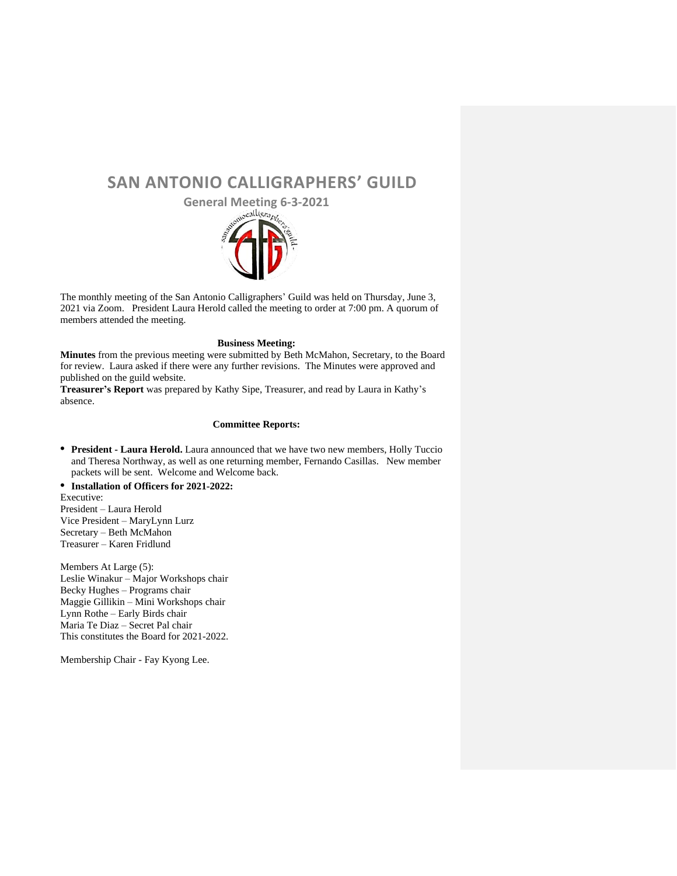## **SAN ANTONIO CALLIGRAPHERS' GUILD**

**General Meeting 6-3-2021**



The monthly meeting of the San Antonio Calligraphers' Guild was held on Thursday, June 3, 2021 via Zoom. President Laura Herold called the meeting to order at 7:00 pm. A quorum of members attended the meeting.

## **Business Meeting:**

**Minutes** from the previous meeting were submitted by Beth McMahon, Secretary, to the Board for review. Laura asked if there were any further revisions. The Minutes were approved and published on the guild website.

**Treasurer's Report** was prepared by Kathy Sipe, Treasurer, and read by Laura in Kathy's absence.

## **Committee Reports:**

**• President - Laura Herold.** Laura announced that we have two new members, Holly Tuccio and Theresa Northway, as well as one returning member, Fernando Casillas. New member packets will be sent. Welcome and Welcome back.

**• Installation of Officers for 2021-2022:** 

Executive: President – Laura Herold Vice President – MaryLynn Lurz Secretary – Beth McMahon Treasurer – Karen Fridlund

Members At Large (5): Leslie Winakur – Major Workshops chair Becky Hughes – Programs chair Maggie Gillikin – Mini Workshops chair Lynn Rothe – Early Birds chair Maria Te Diaz – Secret Pal chair This constitutes the Board for 2021-2022.

Membership Chair - Fay Kyong Lee.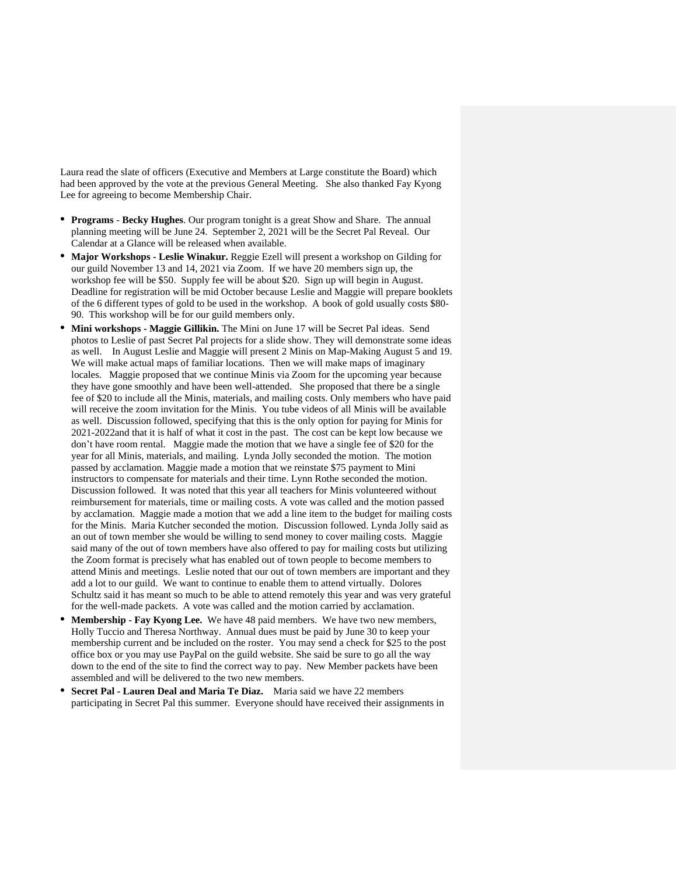Laura read the slate of officers (Executive and Members at Large constitute the Board) which had been approved by the vote at the previous General Meeting. She also thanked Fay Kyong Lee for agreeing to become Membership Chair.

- **• Programs Becky Hughes**. Our program tonight is a great Show and Share. The annual planning meeting will be June 24. September 2, 2021 will be the Secret Pal Reveal. Our Calendar at a Glance will be released when available.
- **• Major Workshops - Leslie Winakur.** Reggie Ezell will present a workshop on Gilding for our guild November 13 and 14, 2021 via Zoom. If we have 20 members sign up, the workshop fee will be \$50. Supply fee will be about \$20. Sign up will begin in August. Deadline for registration will be mid October because Leslie and Maggie will prepare booklets of the 6 different types of gold to be used in the workshop. A book of gold usually costs \$80- 90. This workshop will be for our guild members only.
- **• Mini workshops - Maggie Gillikin.** The Mini on June 17 will be Secret Pal ideas. Send photos to Leslie of past Secret Pal projects for a slide show. They will demonstrate some ideas as well. In August Leslie and Maggie will present 2 Minis on Map-Making August 5 and 19. We will make actual maps of familiar locations. Then we will make maps of imaginary locales. Maggie proposed that we continue Minis via Zoom for the upcoming year because they have gone smoothly and have been well-attended. She proposed that there be a single fee of \$20 to include all the Minis, materials, and mailing costs. Only members who have paid will receive the zoom invitation for the Minis. You tube videos of all Minis will be available as well. Discussion followed, specifying that this is the only option for paying for Minis for 2021-2022and that it is half of what it cost in the past. The cost can be kept low because we don't have room rental. Maggie made the motion that we have a single fee of \$20 for the year for all Minis, materials, and mailing. Lynda Jolly seconded the motion. The motion passed by acclamation. Maggie made a motion that we reinstate \$75 payment to Mini instructors to compensate for materials and their time. Lynn Rothe seconded the motion. Discussion followed. It was noted that this year all teachers for Minis volunteered without reimbursement for materials, time or mailing costs. A vote was called and the motion passed by acclamation. Maggie made a motion that we add a line item to the budget for mailing costs for the Minis. Maria Kutcher seconded the motion. Discussion followed. Lynda Jolly said as an out of town member she would be willing to send money to cover mailing costs. Maggie said many of the out of town members have also offered to pay for mailing costs but utilizing the Zoom format is precisely what has enabled out of town people to become members to attend Minis and meetings. Leslie noted that our out of town members are important and they add a lot to our guild. We want to continue to enable them to attend virtually. Dolores Schultz said it has meant so much to be able to attend remotely this year and was very grateful for the well-made packets. A vote was called and the motion carried by acclamation.
- **• Membership - Fay Kyong Lee.** We have 48 paid members. We have two new members, Holly Tuccio and Theresa Northway. Annual dues must be paid by June 30 to keep your membership current and be included on the roster. You may send a check for \$25 to the post office box or you may use PayPal on the guild website. She said be sure to go all the way down to the end of the site to find the correct way to pay. New Member packets have been assembled and will be delivered to the two new members.
- **• Secret Pal - Lauren Deal and Maria Te Diaz.** Maria said we have 22 members participating in Secret Pal this summer. Everyone should have received their assignments in